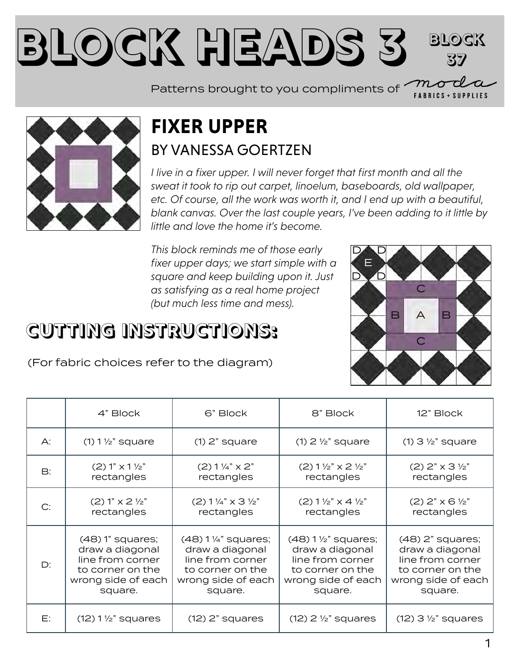#### **Block Heads [3](https://my.modafabrics.com/) Block 37**

Patterns brought to you compliments of  $\sim$ 



#### **FIXER UPPER** BY [VANESSA GOERTZEN](https://my.modafabrics.com/designers/lella-boutique)

*I live in a fixer upper. I will never forget that first month and all the sweat it took to rip out carpet, linoelum, baseboards, old wallpaper, etc. Of course, all the work was worth it, and I end up with a beautiful, blank canvas. Over the last couple years, I've been adding to it little by little and love the home it's become.*

*This block reminds me of those early fixer upper days; we start simple with a square and keep building upon it. Just as satisfying as a real home project (but much less time and mess).*

### **CUTTING INSTRUCTIONS:**



**FABRICS + SUPPLIES** 

(For fabric choices refer to the diagram)

|    | 4" Block                         | 6" Block                             | 8" Block                                    | 12" Block                           |
|----|----------------------------------|--------------------------------------|---------------------------------------------|-------------------------------------|
| A: | $(1)$ 1 $\frac{1}{2}$ " square   | $(1)$ 2" square                      | $(1)$ 2 $\frac{1}{2}$ " square              | $(1)$ 3 $\frac{1}{2}$ " square      |
| B: | $(2) 1" x 1 \frac{1}{2"$         | $(2) 1\frac{1}{4}$ x 2"              | $(2)$ 1 $\frac{1}{2}$ " x 2 $\frac{1}{2}$ " | $(2)$ 2" $\times$ 3 $\frac{1}{2}$ " |
|    | rectangles                       | rectangles                           | rectangles                                  | rectangles                          |
|    | $(2) 1" \times 2 \frac{1}{2"$    | $(2) 1\frac{1}{4}$ x 3 $\frac{1}{2}$ | $(2) 1 \frac{1}{2} x 4 \frac{1}{2}$         | $(2)$ 2" $\times$ 6 $\frac{1}{2}$ " |
|    | rectangles                       | rectangles                           | rectangles                                  | rectangles                          |
| D: | $(48)$ 1" squares;               | $(48)$ 1 1/4" squares;               | $(48)$ 1 $\frac{1}{2}$ " squares;           | $(48)$ 2" squares;                  |
|    | draw a diagonal                  | draw a diagonal                      | draw a diagonal                             | draw a diagonal                     |
|    | line from corner                 | line from corner                     | line from corner                            | line from corner                    |
|    | to corner on the                 | to corner on the                     | to corner on the                            | to corner on the                    |
|    | wrong side of each               | wrong side of each                   | wrong side of each                          | wrong side of each                  |
|    | square.                          | square.                              | square.                                     | square.                             |
| E: | $(12)$ 1 $\frac{1}{2}$ " squares | $(12)$ 2" squares                    | $(12)$ 2 $\frac{1}{2}$ " squares            | $(12)$ 3 $\frac{1}{2}$ " squares    |